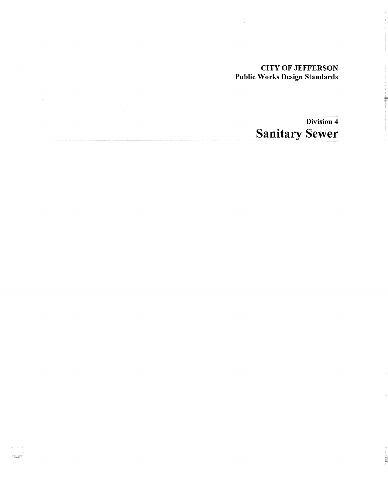## CITY OF JEFFERSON Public Works Design Standards

 $\overline{\phantom{a}}$ 

# Division 4 **Sanitary Sewer**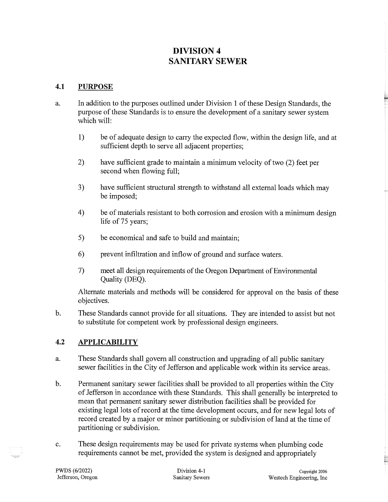## **DIVISION 4 SANITARY SEWER**

#### **4.1 PURPOSE**

- a. In addition to the purposes outlined under Division 1 of these Design Standards, the purpose of these Standards is to ensure the development of a sanitary sewer system which will:
	- 1) be of adequate design to carry the expected flow, within the design life, and at sufficient depth to serve all adjacent properties;
	- 2) have sufficient grade to maintain a minimum velocity of two (2) feet per second when flowing full;
	- 3) have sufficient structural strength to withstand all external loads which may be imposed;
	- 4) be of materials resistant to both corrosion and erosion with a minimum design life of 75 years;
	- 5) be economical and safe to build and maintain;
	- 6) prevent infiltration and inflow of ground and surface waters.
	- 7) meet all design requirements of the Oregon Department of Environmental Quality (DEQ).

Alternate materials and methods will be considered for approval on the basis of these objectives.

b. These Standards cannot provide for all situations. They are intended to assist but not to substitute for competent work by professional design engineers.

## **4.2 APPLICABILITY**

- a. These Standards shall govern all construction and upgrading of all public sanitary sewer facilities in the City of Jefferson and applicable work within its service areas.
- b. Permanent sanitary sewer facilities shall be provided to all properties within the City of Jefferson in accordance with these Standards. This shall generally be interpreted to mean that permanent sanitary sewer distribution facilities shall be provided for existing legal lots of record at the time development occurs, and for new legal lots of record created by a major or minor partitioning or subdivision of land at the time of partitioning or subdivision.
- c. These design requirements may be used for private systems when plumbing code requirements cannot be met, provided the system is designed and appropriately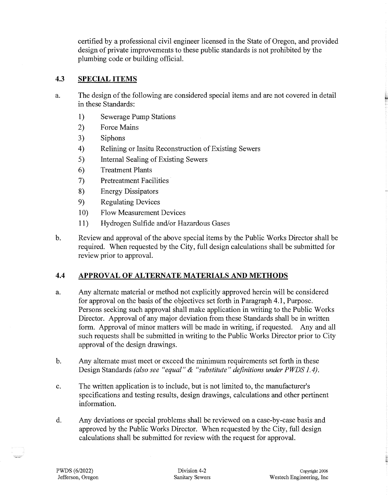certified by a professional civil engineer licensed in the State of Oregon, and provided design of private improvements to these public standards is not prohibited by the plumbing code or building official.

#### **4.3 SPECIAL ITEMS**

- a. The design of the following are considered special items and are not covered in detail in these Standards:
	- 1) Sewerage Pump Stations
	- 2) Force Mains
	- 3) Siphons
	- 4) Relining or Insitu Reconstruction of Existing Sewers
	- 5) Internal Sealing of Existing Sewers
	- 6) Treatment Plants
	- 7) Pretreatment Facilities
	- 8) Energy Dissipators
	- 9) Regulating Devices
	- 10) Flow Measurement Devices
	- 11) Hydrogen Sulfide and/or Hazardous Gases
- b. Review and approval of the above special items by the Public Works Director shall be required. When requested by the City, full design calculations shall be submitted for review prior to approval.

#### **4.4 APPROVAL OF ALTERNATE MATERIALS AND METHODS**

- a. Any alternate material or method not explicitly approved herein will be considered for approval on the basis of the objectives set forth in Paragraph 4.1, Purpose. Persons seeking such approval shall make application in writing to the Public Works Director. Approval of any major deviation from these Standards shall be in written form. Approval of minor matters will be made in writing, if requested. Any and all such requests shall be submitted in writing to the Public Works Director prior to City approval of the design drawings.
- b. Any alternate must meet or exceed the minimum requirements set forth in these Design Standards *(also see "equal"* & *"substitute" definitions under PWDS 1.4).*
- c. The written application is to include, but is not limited to, the manufacturer's specifications and testing results, design drawings, calculations and other pertinent information.
- d. Any deviations or special problems shall be reviewed on a case-by-case basis and approved by the Public Works Director. When requested by the City, full design calculations shall be submitted for review with the request for approval.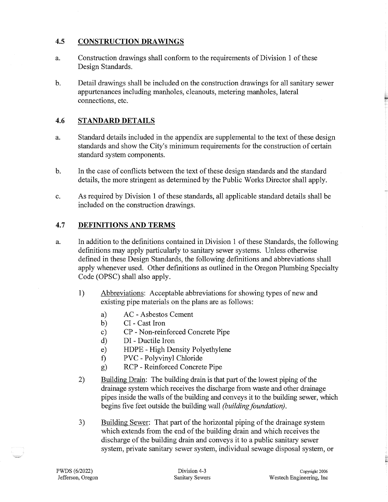#### **4.5 CONSTRUCTION DRAWINGS**

- a. Construction drawings shall conform to the requirements of Division 1 of these Design Standards.
- b. Detail drawings shall be included on the construction drawings for all sanitary sewer appurtenances including manholes, cleanouts, metering manholes, lateral connections, etc.

## **4.6 STANDARD DETAILS**

- a. Standard details included in the appendix are supplemental to the text of these design standards and show the City's minimum requirements for the construction of certain standard system components.
- b. In the case of conflicts between the text of these design standards and the standard details, the more stringent as determined by the Public Works Director shall apply.
- c. As required by Division 1 of these standards, all applicable standard details shall be included on the construction drawings.

#### **4.7 DEFINITIONS AND TERMS**

- a. In addition to the definitions contained in Division 1 of these Standards, the following definitions may apply particularly to sanitary sewer systems. Unless otherwise defined in these Design Standards, the following definitions and abbreviations shall apply whenever used. Other definitions as outlined in the Oregon Plumbing Specialty Code (OPSC) shall also apply.
	- 1) Abbreviations: Acceptable abbreviations for showing types of new and existing pipe materials on the plans are as follows:
		- a) AC Asbestos Cement
		- b) CI Cast Iron
		- c) CP Non-reinforced Concrete Pipe
		- d) DI Ductile Iron
		- e) HDPE High Density Polyethylene
		- f) PVC Polyvinyl Chloride
		- g) RCP Reinforced Concrete Pipe
	- 2) Building Drain: The building drain is that part of the lowest piping of the drainage system which receives the discharge from waste and other drainage pipes inside the walls of the building and conveys it to the building sewer, which begins five feet outside the building wall *(building foundation).*
	- 3) Building Sewer: That part of the horizontal piping of the drainage system which extends from the end of the building drain and which receives the discharge of the building drain and conveys it to a public sanitary sewer system, private sanitary sewer system, individual sewage disposal system, or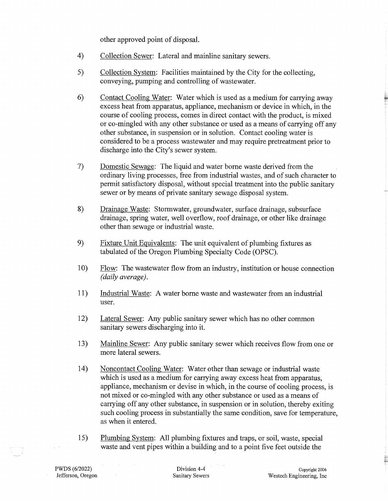other approved point of disposal.

- 4) Collection Sewer: Lateral and mainline sanitary sewers.
- 5) Collection System: Facilities maintained by the City for the collecting, conveying, pumping and controlling of wastewater.
- 6) Contact Cooling Water: Water which is used as a medium for carrying away excess heat from apparatus, appliance, mechanism or device in which, in the course of cooling process, comes in direct contact with the product, is mixed or co-mingled with any other substance or used as a means of carrying off any other substance, in suspension or in solution. Contact cooling water is considered to be a process wastewater and may require pretreatment prior to discharge into the City's sewer system.
- 7) Domestic Sewage: The liquid and water borne waste derived from the ordinary living processes, free from industrial wastes, and of such character to permit satisfactory disposal, without special treatment into the public sanitary sewer or by means of private sanitary sewage disposal system.
- 8) Drainage Waste: Stormwater, groundwater, surface drainage, subsurface drainage, spring water, well overflow, roof drainage, or other like drainage other than sewage or industrial waste.
- 9) Fixture Unit Equivalents: The unit equivalent of plumbing fixtures as tabulated of the Oregon Plumbing Specialty Code (OPSC).
- 10) Flow: The wastewater flow from an industry, institution or house connection *(daily average).*
- 11) Industrial Waste: A water borne waste and wastewater from an industrial user.
- 12) Lateral Sewer: Any public sanitary sewer which has no other common sanitary sewers discharging into it.
- 13) Mainline Sewer: Any public sanitary sewer which receives flow from one or more lateral sewers.
- 14) Noncontact Cooling Water: Water other than sewage or industrial waste which is used as a medium for carrying away excess heat from apparatus, appliance, mechanism or devise in which, in the course of cooling process, is not mixed or co-mingled with any other substance or used as a means of carrying off any other substance, in suspension or in solution, thereby exiting such cooling process in substantially the same condition, save for temperature, as when it entered.
- 15) Plumbing System: All plumbing fixtures and traps, or soil, waste, special waste and vent pipes within a building and to a point five feet outside the

 $\sim$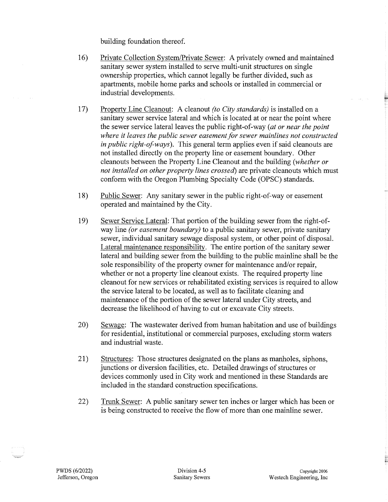building foundation thereof.

- 16) Private Collection System/Private Sewer: A privately owned and maintained sanitary sewer system installed to serve multi-unit structures on single ownership properties, which cannot legally be further divided, such as apartments, mobile home parks and schools or installed in commercial or industrial developments.
- 17) Property Line Cleanout: A cleanout *(to City standards)* is installed on a sanitary sewer service lateral and which is located at or near the point where the sewer service lateral leaves the public right-of-way *(at or near the point where* it *leaves the public sewer easement for sewer mainlines not constructed in public right-of-ways).* This general term applies even if said cleanouts are not installed directly on the property line or easement boundary. Other cleanouts between the Property Line Cleanout and the building *(whether or not installed on other property lines crossed)* are private cleanouts which must conform with the Oregon Plumbing Specialty Code (OPSC) standards.
- 18) Public Sewer: Any sanitary sewer in the public right-of-way or easement operated and maintained by the City.
- 19) Sewer Service Lateral: That portion of the building sewer from the right-ofway line *(or easement boundary)* to a public sanitary sewer, private sanitary sewer, individual sanitary sewage disposal system, or other point of disposal. Lateral maintenance responsibility. The entire portion of the sanitary sewer lateral and building sewer from the building to the public mainline shall be the sole responsibility of the property owner for maintenance and/or repair, whether or not a property line cleanout exists. The required property line cleanout for new services or rehabilitated existing services is required to allow the service lateral to be located, as well as to facilitate cleaning and maintenance of the portion of the sewer lateral under City streets, and decrease the likelihood of having to cut or excavate City streets.
- 20) Sewage: The wastewater derived from human habitation and use of buildings for residential, institutional or commercial purposes, excluding storm waters and industrial waste.
- 21) Structures: Those structures designated on the plans as manholes, siphons, junctions or diversion facilities, etc. Detailed drawings of structures or devices commonly used in City work and mentioned in these Standards are included in the standard construction specifications.
- 22) Trunk Sewer: A public sanitary sewer ten inches or larger which has been or is being constructed to receive the flow of more than one mainline sewer.

E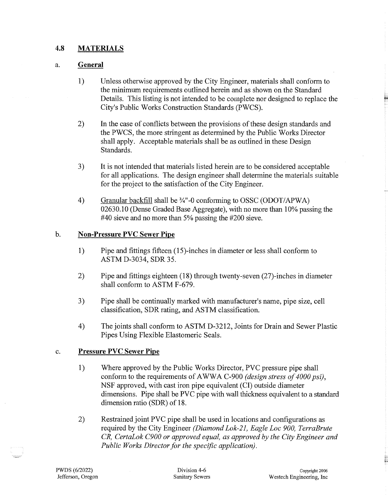#### **4.8 MATERIALS**

#### a. **General**

- 1) Unless otherwise approved by the City Engineer, materials shall conform to the minimum requirements outlined herein and as shown on the Standard Details. This listing is not intended to be complete nor designed to replace the City's Public Works Construction Standards (PWCS).
- 2) In the case of conflicts between the provisions of these design standards and the PWCS, the more stringent as determined by the Public Works Director shall apply. Acceptable materials shall be as outlined in these Design Standards.
- 3) It is not intended that materials listed herein are to be considered acceptable for all applications. The design engineer shall determine the materials suitable for the project to the satisfaction of the City Engineer.
- 4) Granular backfill shall be %"-0 conforming to OSSC (ODOT/APWA) 02630.10 (Dense Graded Base Aggregate), with no more than 10% passing the #40 sieve and no more than 5% passing the #200 sieve.

#### b. **Non-Pressure PVC Sewer Pipe**

- 1) Pipe and fittings fifteen (15)-inches in diameter or less shall conform to ASTM D-3034, SDR 35.
- 2) Pipe and fittings eighteen (18) through twenty-seven (27)-inches in diameter shall conform to ASTM F-679.
- 3) Pipe shall be continually marked with manufacturer's name, pipe size, cell classification, SDR rating, and ASTM classification.
- 4) The joints shall conform to ASTM D-3212, Joints for Drain and Sewer Plastic Pipes Using Flexible Elastomeric Seals.

#### c. **Pressure PVC Sewer Pipe**

- 1) Where approved by the Public Works Director, PVC pressure pipe shall conform to the requirements of A WWA C-900 *(design stress of 4000 psi),*  NSF approved, with cast iron pipe equivalent (CI) outside diameter dimensions. Pipe shall be PVC pipe with wall thickness equivalent to a standard dimension ratio (SDR) of 18.
- 2) Restrained joint PVC pipe shall be used in locations and configurations as required by the City Engineer *(Diamond Lok-21, Eagle Loe 900, TerraBrute CR, CertaLok C900 or approved equal, as approved by the City Engineer and Public Works Director for the specific application).*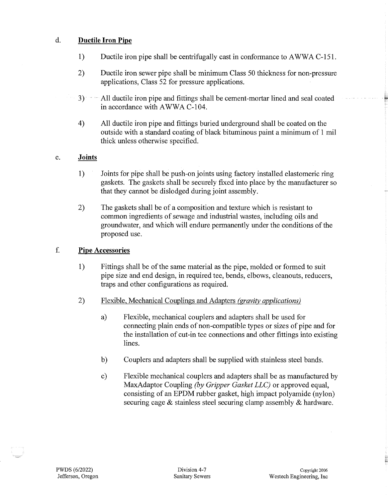## d. **Ductile Iron Pipe**

- 1) Ductile iron pipe shall be centrifugally cast in conformance to AWWA C-151.
- 2) Ductile iron sewer pipe shall be minimum Class 50 thickness for non-pressure applications, Class 52 for pressure applications.
- 3) · ·· All ductile iron pipe and fittings· shall be cement-mortar lined and seal coated in accordance with AWWA C-104.
- 4) All ductile iron pipe and fittings buried underground shall be coated on the outside with a standard coating of black bituminous paint a minimum of 1 mil thick unless otherwise specified.

#### e. **Joints**

- 1) Joints for pipe shall be push-on joints using factory installed elastomeric ring gaskets. The gaskets shall be securely fixed into place by the manufacturer so that they cannot be dislodged during joint assembly.
- 2) The gaskets shall be of a composition and texture which is resistant to common ingredients of sewage and industrial wastes, including oils and groundwater, and which will endure permanently under the conditions of the proposed use.

#### f. **Pipe Accessories**

- 1) Fittings shall be of the same material as the pipe, molded or formed to suit pipe size and end design, in required tee, bends, elbows, cleanouts, reducers, traps and other configurations as required.
- 2) Flexible, Mechanical Couplings and Adapters *(gravity applications)* 
	- a) Flexible, mechanical couplers and adapters shall be used for connecting plain ends of non-compatible types or sizes of pipe and for the installation of cut-in tee connections and other fittings into existing lines.
	- b) Couplers and adapters shall be supplied with stainless steel bands.
	- c) Flexible mechanical couplers and adapters shall be as manufactured by MaxAdaptor Coupling *(by Gripper Gasket LLC)* or approved equal, consisting of an EPDM rubber gasket, high impact polyamide (nylon) securing cage & stainless steel securing clamp assembly & hardware.

E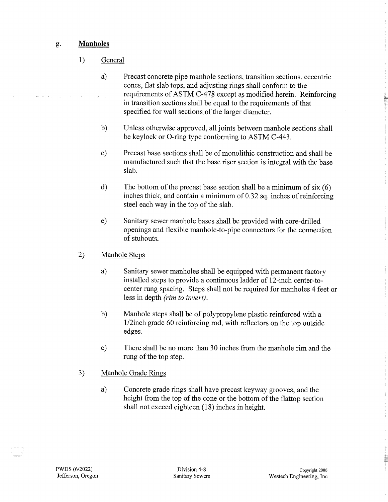## g. **Manholes**

- 1) General
	- a) Precast concrete pipe manhole sections, transition sections, eccentric cones, flat slab tops, and adjusting rings shall conform to the requirements of ASTM C-478 except as modified herein. Reinforcing in transition sections shall be equal to the requirements of that specified for wall sections of the larger diameter.
	- b) Unless otherwise approved, all joints between manhole sections shall be keylock or 0-ring type conforming to ASTM C-443.
	- c) Precast base sections shall be of monolithic construction and shall be manufactured such that the base riser section is integral with the base slab.
	- d) The bottom of the precast base section shall be a minimum of  $\text{six}(6)$ inches thick, and contain a minimum of 0.32 sq. inches of reinforcing steel each way in the top of the slab.
	- e) Sanitary sewer manhole bases shall be provided with core-drilled openings and flexible manhole-to-pipe connectors for the connection of stubouts.
- 2) Manhole Steps
	- a) Sanitary sewer manholes shall be equipped with permanent factory installed steps to provide a continuous ladder of 12-inch center-tocenter rung spacing. Steps shall not be required for manholes 4 feet or less in depth *(rim to invert).*
	- b) Manhole steps shall be of polypropylene plastic reinforced with a 1/2inch grade 60 reinforcing rod, with reflectors on the top outside edges.
	- c) There shall be no more than 30 inches from the manhole rim and the rung of the top step.
- 3) Manhole Grade Rings
	- a) Concrete grade rings shall have precast keyway grooves, and the height from the top of the cone or the bottom of the flattop section shall not exceed eighteen (18) inches in height.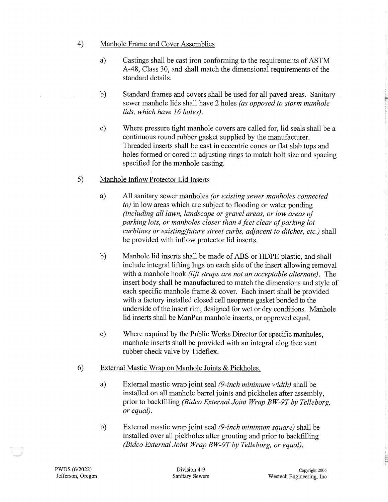#### 4) Manhole Frame and Cover Assemblies

- a) Castings shall be cast iron conforming to the requirements of ASTM A-48, Class 30, and shall match the dimensional requirements of the standard details.
- b) Standard frames and covers shall be used for all paved areas. Sanitary sewer manhole lids shall have 2 holes *(as opposed to storm manhole lids, which have 16 holes).*
- c) Where pressure tight manhole covers are called for, lid seals shall be a continuous round rubber gasket supplied by the manufacturer. Threaded inserts shall be cast in eccentric cones or flat slab tops and holes formed or cored in adjusting rings to match bolt size and spacing specified for the manhole casting.
- 5) Manhole Inflow Protector Lid Inserts
	- a) All sanitary sewer manholes *(or existing sewer manholes connected to*) in low areas which are subject to flooding or water ponding *(including all lawn, landscape or gravel areas, or low areas of parking lots, or manholes closer than 4 feet clear of parking lot curblines or existing/future street curbs, adjacent to ditches, etc.)* shall be provided with inflow protector lid inserts.
	- b) Manhole lid inserts shall be made of ABS or HDPE plastic, and shall include integral lifting lugs on each side of the insert allowing removal with a manhole hook *(lift straps are not an acceptable alternate).* The insert body shall be manufactured to match the dimensions and style of each specific manhole frame & cover. Each insert shall be provided with a factory installed closed cell neoprene gasket bonded to the underside of the insert rim, designed for wet or dry conditions. Manhole lid inserts shall be ManPan manhole inserts, or approved equal.
	- c) Where required by the Public Works Director for specific manholes, manhole inserts shall be provided with an integral clog free vent rubber check valve by Tideflex.
- 6) External Mastic Wrap on Manhole Joints & Pickholes.
	- a) External mastic wrap joint seal *(9-inch minimum width)* shall be installed on all manhole barrel joints and pickholes after assembly, prior to backfilling *(Bidco External Joint Wrap BW-9T by Telleborg, or equal).*
	- b) External mastic wrap joint seal *(9-inch minimum square)* shall be installed over all pickholes after grouting and prior to backfilling *(Bidco External Joint Wrap BW-9T by Telleborg, or equal).*

 $\sim$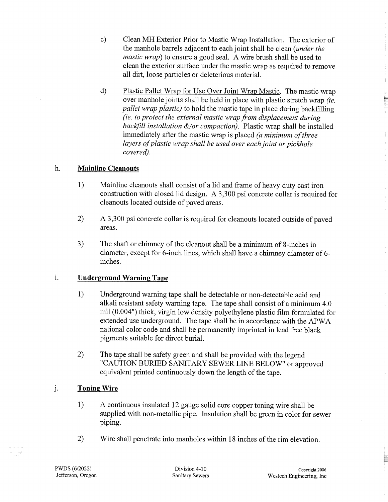- c) Clean MH Exterior Prior to Mastic Wrap Installation. The exterior of the manhole barrels adjacent to each joint shall be clean *(under the mastic wrap*) to ensure a good seal. A wire brush shall be used to clean the exterior surface under the mastic wrap as required to remove all dirt, loose particles or deleterious material.
- d) Plastic Pallet Wrap for Use Over Joint Wrap Mastic. The mastic wrap over manhole joints shall be held in place with plastic stretch wrap *(ie. pallet wrap plastic)* to hold the mastic tape in place during backfilling *(ie. to protect the external mastic wrap from displacement during backfill installation &/or compaction).* Plastic wrap shall be installed immediately after the mastic wrap is placed *(a minimum of three layers of plastic wrap shall be used over each joint or pickhole covered).*

#### h. **Mainline Cleanouts**

- 1) Mainline cleanouts shall consist of a lid and frame of heavy duty cast iron construction with closed lid design. A 3,300 psi concrete collar is required for cleanouts located outside of paved areas.
- 2) A 3,300 psi concrete collar is required for cleanouts located outside of paved areas.
- 3) The shaft or chimney of the cleanout shall be a minimum of 8-inches in diameter, except for 6-inch lines, which shall have a chimney diameter of 6 inches.

## <sup>L</sup>**Underground Warning Tape**

- 1) Underground warning tape shall be detectable or non-detectable acid and alkali resistant safety warning tape. The tape shall consist of a minimum 4.0 mil (0.004") thick, virgin low density polyethylene plastic film formulated for extended use underground. The tape shall be in accordance with the APWA national color code and shall be permanently imprinted in lead free black pigments suitable for direct burial.
- 2) The tape shall be safety green and shall be provided with the legend "CAUTION BURIED SANITARY SEWER LINE BELOW" or approved equivalent printed continuously down the length of the tape.

## J. **Toning Wire**

- 1) A continuous insulated 12 gauge solid core copper toning wire shall be supplied with non-metallic pipe. Insulation shall be green in color for sewer piping.
- 2) Wire shall penetrate into manholes within 18 inches of the rim elevation.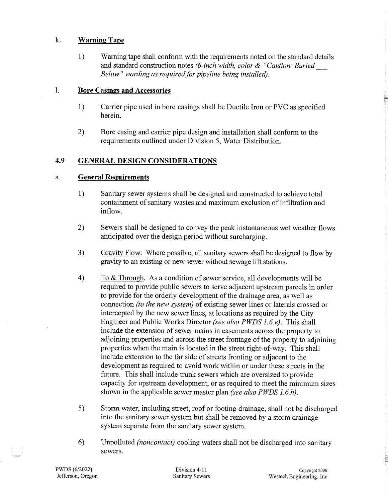#### k. Warning Tape

1) Warning tape shall conform with the requirements noted on the standard details and standard construction notes *(6-inch width, color* & *"Caution: Buried\_ Below" wording as required for pipeline being installed).* 

#### 1. Bore Casings and Accessories

- 1) Carrier pipe used in bore casings shall be Ductile Iron or PVC as specified herein.
- 2) Bore casing and carrier pipe design and installation shall conform to the requirements outlined under Division 5, Water Distribution.

## 4.9 GENERAL DESIGN CONSIDERATIONS

## a. General Requirements

- 1) Sanitary sewer systems shall be designed and constructed to achieve total containment of sanitary wastes and maximum exclusion of infiltration and inflow.
- 2) Sewers shall be designed to convey the peak instantaneous wet weather flows anticipated over the design period without surcharging.
- 3) Gravity Flow: Where possible, all sanitary sewers shall be designed to flow by gravity to an existing or new sewer without sewage lift stations.
- 4) To  $&$  Through. As a condition of sewer service, all developments will be required to provide public sewers to serve adjacent upstream parcels in order to provide for the orderly development of the drainage area, as well as connection *(to the new system)* of existing sewer lines or laterals crossed or intercepted by the new sewer lines, at locations as required by the City Engineer and Public Works Director *(see also PWDS 1.6.e).* This shall include the extension of sewer mains in easements across the property to adjoining properties and across the street frontage of the property to adjoining properties when the main is located in the street right-of-way. This shall include extension to the far side of streets fronting or adjacent to the development as required to avoid work within or under these streets in the future. This shall include trunk sewers which are oversized to provide capacity for upstream development, or as required to meet the minimum sizes shown in the applicable sewer master plan *(see also PWDS 1.6.h).*
- 5) Storm water, including street, roof or footing drainage, shall not be discharged into the sanitary sewer system but shall be removed by a storm drainage system separate from the sanitary sewer system.
- 6) Unpolluted *(noncontact)* cooling waters shall not be discharged into sanitary sewers.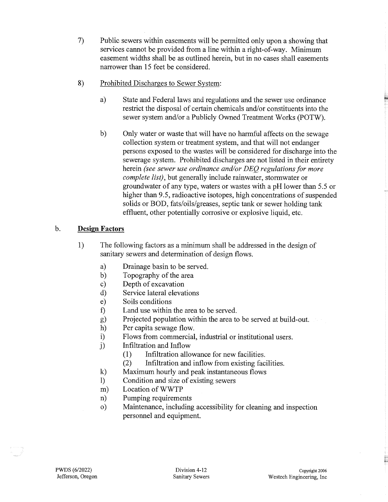- 7) Public sewers within easements will be permitted only upon a showing that services cannot be provided from a line within a right-of-way. Minimum easement widths shall be as outlined herein, but in no cases shall easements narrower than 15 feet be considered.
- 8) Prohibited Discharges to Sewer System:
	- a) State and Federal laws and regulations and the sewer use ordinance restrict the disposal of certain chemicals and/or constituents into the sewer system and/or a Publicly Owned Treatment Works (POTW).
	- b) Only water or waste that will have no harmful affects on the sewage collection system or treatment system, and that will not endanger persons exposed to the wastes will be considered for discharge into the sewerage system. Prohibited discharges are not listed in their entirety herein *(see sewer use ordinance and/or DEQ regulations for more complete list),* but generally include rainwater, stormwater or groundwater of any type, waters or wastes with a pH lower than 5.5 or higher than 9.5, radioactive isotopes, high concentrations of suspended solids or BOD, fats/oils/greases, septic tank or sewer holding tank effluent, other potentially corrosive or explosive liquid, etc.

## b. **Design Factors**

- 1) The following factors as a minimum shall be addressed in the design of sanitary sewers and determination of design flows.
	- a) Drainage basin to be served.
	- b) Topography of the area
	- c) Depth of excavation
	- d) Service lateral elevations
	- e) Soils conditions
	- f) Land use within the area to be served.
	- g) Projected population within the area to be served at build-out.
	- h) Per capita sewage flow.
	- i) Flows from commercial, industrial or institutional users.
	- j) Infiltration and Inflow
		- (1) Infiltration allowance for new facilities.
		- (2) Infiltration and inflow from existing facilities.
	- k) Maximum hourly and peak instantaneous flows
	- 1) Condition and size of existing sewers
	- m) Location ofWWTP
	- n) Pumping requirements
	- o) Maintenance, including accessibility for cleaning and inspection personnel and equipment.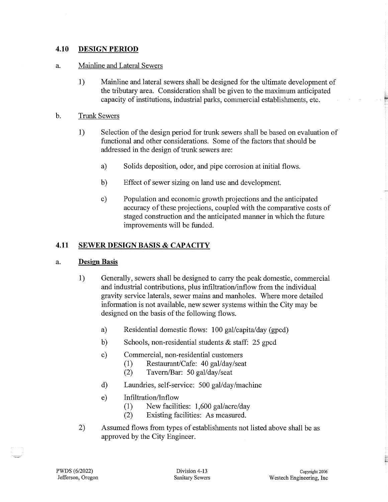#### **4.10 DESIGN PERIOD**

#### a. Mainline and Lateral Sewers

1) Mainline and lateral sewers shall be designed for the ultimate development of the tributary area. Consideration shall be given to the maximum anticipated capacity of institutions, industrial parks, commercial establishments, etc.

#### b. Trunk Sewers

- 1) Selection of the design period for trunk sewers shall be based on evaluation of functional and other considerations. Some of the factors that should be addressed in the design of trunk sewers are:
	- a) Solids deposition, odor, and pipe corrosion at initial flows.
	- b) Effect of sewer sizing on land use and development.
	- c) Population and economic growth projections and the anticipated accuracy of these projections, coupled with the comparative costs of staged construction and the anticipated manner in which the future improvements will be funded.

#### **4.11 SEWER DESIGN BASIS & CAPACITY**

#### a. **Design Basis**

- 1) Generally, sewers shall be designed to carry the peak domestic, commercial and industrial contributions, plus infiltration/inflow from the individual gravity service laterals, sewer mains and manholes. Where more detailed information is not available, new sewer systems within the City may be designed on the basis of the following flows.
	- a) Residential domestic flows: 100 gal/capita/day (gpcd)
	- b) Schools, non-residential students & staff: 25 gpcd
	- c) Commercial, non-residential customers
		- (1) Restaurant/Cafe: 40 gal/day/seat
		- (2) Tavern/Bar: 50 gal/day/seat
	- d) Laundries, self-service: 500 gal/day/machine
	- e) Infiltration/Inflow
		- (1) New facilities: 1,600 gal/acre/day
		- (2) Existing facilities: As measured.
- 2) Assumed flows from types of establishments not listed above shall be as approved by the City Engineer.

È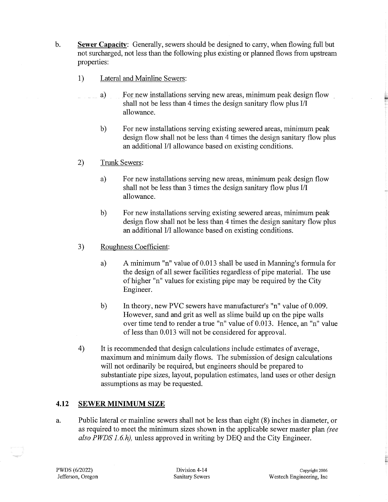- b. **Sewer Capacity:** Generally, sewers should be designed to carry, when flowing full but not surcharged, not less than the following plus existing or planned flows from upstream properties:
	- 1) Lateral and Mainline Sewers:
		- a) For new installations serving new areas, minimum peak design flow shall not be less than 4 times the design sanitary flow plus I/I allowance.
			- b) For new installations serving existing sewered areas, minimum peak design flow shall not be less than 4 times the design sanitary flow plus an additional I/I allowance based on existing conditions.
	- 2) Trunk Sewers:
		- a) For new installations serving new areas, minimum peak design flow shall not be less than 3 times the design sanitary flow plus I/I allowance.
		- b) For new installations serving existing sewered areas, minimum peak design flow shall not be less than 4 times the design sanitary flow plus an additional I/I allowance based on existing conditions.
	- 3) Roughness Coefficient:
		- a) A minimum "n" value of 0.013 shall be used in Manning's formula for the design of all sewer facilities regardless of pipe material. The use of higher "n" values for existing pipe may be required by the City Engineer.
		- b) In theory, new PVC sewers have manufacturer's "n" value of 0.009. However, sand and grit as well as slime build up on the pipe walls over time tend to render a true "n" value of 0.013. Hence, an "n" value of less than 0.013 will not be considered for approval.
	- 4) It is recommended that design calculations include estimates of average, maximum and minimum daily flows. The submission of design calculations will not ordinarily be required, but engineers should be prepared to substantiate pipe sizes, layout, population estimates, land uses or other design assumptions as may be requested.

#### **4.12 SEWER MINIMUM SIZE**

a. Public lateral or mainline sewers shall not be less than eight (8) inches in diameter, or as required to meet the minimum sizes shown in the applicable sewer master plan *(see also PWDS 1. 6.h),* unless approved in writing by DEQ and the City Engineer.

È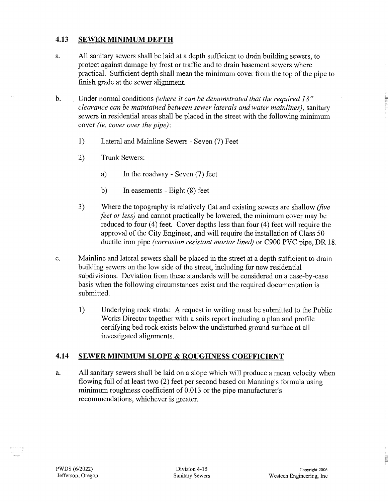#### **4.13 SEWER MINIMUM DEPTH**

- a. All sanitary sewers shall be laid at a depth sufficient to drain building sewers, to protect against damage by frost or traffic and to drain basement sewers where practical. Sufficient depth shall mean the minimum cover from the top of the pipe to finish grade at the sewer alignment.
- b. Under normal conditions *(where it can be demonstrated that the required 18" clearance can be maintained between sewer laterals and water mainlines),* sanitary sewers in residential areas shall be placed in the street with the following minimum cover *(ie. cover over the pipe):* 
	- 1) Lateral and Mainline Sewers Seven (7) Feet
	- 2) Trunk Sewers:
		- a) In the roadway Seven (7) feet
		- b) In easements Eight (8) feet
	- 3) Where the topography is relatively flat and existing sewers are shallow *(five feet or less)* and cannot practically be lowered, the minimum cover may be reduced to four (4) feet. Cover depths less than four (4) feet will require the approval of the City Engineer, and will require the installation of Class 50 ductile iron pipe *(corrosion resistant mortar lined)* or C900 PVC pipe, DR 18.
- c. Mainline and lateral sewers shall be placed in the street at a depth sufficient to drain building sewers on the low side of the street, including for new residential subdivisions. Deviation from these standards will be considered on a case-by-case basis when the following circumstances exist and the required documentation is submitted.
	- 1) Underlying rock strata: A request in writing must be submitted to the Public Works Director together with a soils report including a plan and profile certifying bed rock exists below the undisturbed ground surface at all investigated alignments.

#### **4.14 SEWER MINIMUM SLOPE & ROUGHNESS COEFFICIENT**

a. All sanitary sewers shall be laid on a slope which will produce a mean velocity when flowing full of at least two (2) feet per second based on Manning's formula using minimum roughness coefficient of 0.013 or the pipe manufacturer's recommendations, whichever is greater.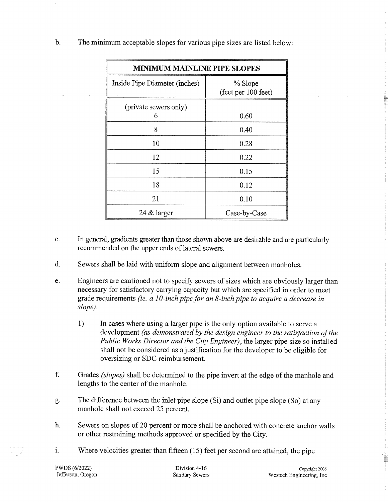| <b>MINIMUM MAINLINE PIPE SLOPES</b> |                                |  |
|-------------------------------------|--------------------------------|--|
| Inside Pipe Diameter (inches)       | % Slope<br>(feet per 100 feet) |  |
| (private sewers only)<br>6          | 0.60                           |  |
| 8                                   | 0.40                           |  |
| 10                                  | 0.28                           |  |
| 12                                  | 0.22                           |  |
| 15                                  | 0.15                           |  |
| 18                                  | 0.12                           |  |
| 21                                  | 0.10                           |  |
| 24 $\&$ larger                      | Case-by-Case                   |  |

b. The minimum acceptable slopes for various pipe sizes are listed below:

- c. In general, gradients greater than those shown above are desirable and are particularly recommended on the upper ends of lateral sewers.
- d. Sewers shall be laid with uniform slope and alignment between manholes.
- e. Engineers are cautioned not to specify sewers of sizes which are obviously larger than necessary for satisfactory carrying capacity but which are specified in order to meet grade requirements *(ie. a 10-inch pipe for an 8-inch pipe to acquire a decrease in slope).* 
	- 1) In cases where using a larger pipe is the only option available to serve a development *(as demonstrated by the design engineer to the satisfaction of the Public Works Director and the City Engineer),* the larger pipe size so installed shall not be considered as a justification for the developer to be eligible for oversizing or SDC reimbursement.
- f. Grades *(slopes)* shall be determined to the pipe invert at the edge of the manhole and lengths to the center of the manhole.
- g. The difference between the inlet pipe slope (Si) and outlet pipe slope (So) at any manhole shall not exceed 25 percent.
- h. Sewers on slopes of 20 percent or more shall be anchored with concrete anchor walls or other restraining methods approved or specified by the City.
- i. Where velocities greater than fifteen  $(15)$  feet per second are attained, the pipe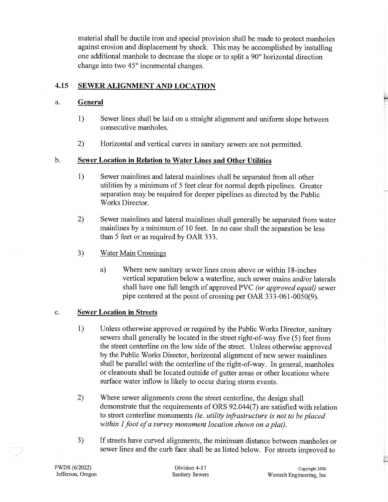material shall be ductile iron and special provision shall be made to protect manholes against erosion and displacement by shock. This may be accomplished by installing one additional manhole to decrease the slope or to split a 90° horizontal direction change into two 45° incremental changes.

## **4.15 SEWER ALIGNMENT AND LOCATION**

#### a. **General**

- 1) Sewer lines shall be laid on a straight alignment and uniform slope between consecutive manholes.
- 2) Horizontal and vertical curves in sanitary sewers are not permitted.

#### b. **Sewer Location in Relation to Water Lines and Other Utilities**

- 1) Sewer mainlines and lateral mainlines shall be separated from all other utilities by a minimum of 5 feet clear for normal depth pipelines. Greater separation may be required for deeper pipelines as directed by the Public Works Director.
- 2) Sewer mainlines and lateral mainlines shall generally be separated from water mainlines by a minimum of 10 feet. In no case shall the separation be less than 5 feet or as required by OAR 333.
- 3) Water Main Crossings
	- a) Where new sanitary sewer lines cross above or within 18-inches vertical separation below a waterline, such sewer mains and/or laterals shall have one full length of approved PVC *(or approved equal)* sewer pipe centered at the point of crossing per OAR 333-061-0050(9).

#### c. **Sewer Location in Streets**

- 1) Unless otherwise approved or required by the Public Works Director, sanitary sewers shall generally be located in the street right-of-way five (5) feet from the street centerline on the low side of the street. Unless otherwise approved by the Public Works Director, horizontal alignment of new sewer mainlines shall be parallel with the centerline of the right-of-way. In general, manholes or cleanouts shall be located outside of gutter areas or other locations where surface water inflow is likely to occur during storm events.
- 2) Where sewer alignments cross the street centerline, the design shall demonstrate that the requirements of ORS 92.044(7) are satisfied with relation to street centerline monuments *(ie. utility infi-astructure is not to be placed within 1 foot of a survey monument location shown on a plat).*
- 3) If streets have curved alignments, the minimum distance between manholes or sewer lines and the curb face shall be as listed below. For streets improved to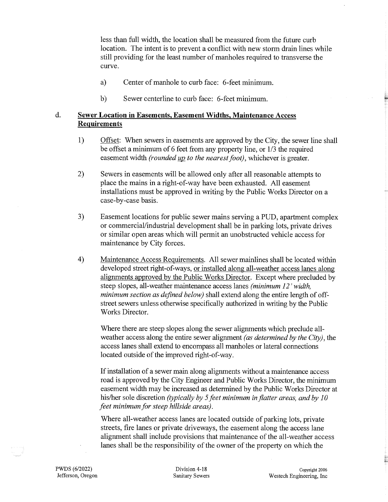less than full width, the location shall be measured from the future curb location. The intent is to prevent a conflict with new storm drain lines while still providing for the least number of manholes required to transverse the curve.

- a) Center of manhole to curb face: 6-feet minimum.
- b) Sewer centerline to curb face: 6-feet minimum.

## **d. Sewer Location in Easements, Easement Widths, Maintenance Access Requirements**

- 1) Offset: When sewers in easements are approved by the City, the sewer line shall be offset a minimum of 6 feet from any property line, or 1/3 the required easement width *(rounded up to the nearest foot)*, whichever is greater.
- 2) Sewers in easements will be allowed only after all reasonable attempts to place the mains in a right-of-way have been exhausted. All easement installations must be approved in writing by the Public Works Director on <sup>a</sup> case-by-case basis.
- 3) Easement locations for public sewer mains serving a PUD, apartment complex or commercial/industrial development shall be in parking lots, private drives or similar open areas which will permit an unobstructed vehicle access for maintenance by City forces.
- 4) Maintenance Access Requirements. All sewer mainlines shall be located within developed street right-of-ways, or installed along all-weather access lanes along alignments approved by the Public Works Director. Except where precluded by steep slopes, all-weather maintenance access lanes *(minimum 12' width, minimum section as defined below)* shall extend along the entire length of offstreet sewers unless otherwise specifically authorized in writing by the Public Works Director.

Where there are steep slopes along the sewer alignments which preclude allweather access along the entire sewer alignment *(as determined by the City),* the access lanes shall extend to encompass all manholes or lateral connections located outside of the improved right-of-way.

If installation of a sewer main along alignments without a maintenance access road is approved by the City Engineer and Public Works Director, the minimum easement width may be increased as determined by the Public Works Director at his/her sole discretion *(typically by 5 feet minimum in flatter areas, and by 10 feet minimum for steep hillside areas).* 

Where all-weather access lanes are located outside of parking lots, private streets, fire lanes or private driveways, the easement along the access lane alignment shall include provisions that maintenance of the all-weather access lanes shall be the responsibility of the owner of the property on which the

₩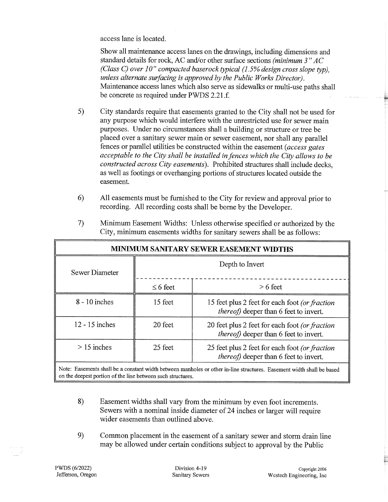access lane is located.

Show all maintenance access lanes on the drawings, including dimensions and standard details for rock, AC and/or other surface sections *(minimum 3 "AC (Class C) over 10" compacted baserocktypical (1.5% design cross slope typ), unless alternate surfacing is approved by the Public Works Director).*  Maintenance access lanes which also serve as sidewalks or multi-use paths shall be concrete as required under PWDS 2.21.f

- 5) City standards require that easements granted to the City shall not be used for any purpose which would interfere with the unrestricted use for sewer main purposes. Under no circumstances shall a building or structure or tree be <sup>p</sup>laced over a sanitary sewer main or sewer easement, nor shall any parallel fences or parallel utilities be constructed within the easement *(access gates acceptable to the City shall be installed in fences which the City allows to be constructed across City easements).* Prohibited structures shall include decks, as well as footings or overhanging portions of structures located outside the easement.
- 6) All easements must be furnished to the City for review and approval prior to recording. All recording costs shall be borne by the Developer.

| MINIMUM SANITARY SEWER EASEMENT WIDTHS |                 |                                                                                                  |  |
|----------------------------------------|-----------------|--------------------------------------------------------------------------------------------------|--|
| <b>Sewer Diameter</b>                  | Depth to Invert |                                                                                                  |  |
|                                        | $\leq 6$ feet   | $> 6$ feet                                                                                       |  |
| $8 - 10$ inches                        | 15 feet         | 15 feet plus 2 feet for each foot (or fraction<br><i>thereof</i> ) deeper than 6 feet to invert. |  |
| $12 - 15$ inches                       | 20 feet         | 20 feet plus 2 feet for each foot (or fraction<br>thereof) deeper than 6 feet to invert.         |  |
| $> 15$ inches                          | 25 feet         | 25 feet plus 2 feet for each foot (or fraction<br><i>thereof</i> ) deeper than 6 feet to invert. |  |

7) Minimum Easement Widths: Unless otherwise specified or authorized by the City, minimum easements widths for sanitary sewers shall be as follows:

Note: Easements shall be a constant width between manholes or other in-line structures. Easement width shall be based on the deepest portion of the line between such structures.

- 8) Easement widths shall vary from the minimum by even foot increments. Sewers with a nominal inside diameter of 24 inches or larger will require wider easements than outlined above.
- 9) Common placement in the easement of a sanitary sewer and storm drain line may be allowed under certain conditions subject to approval by the Public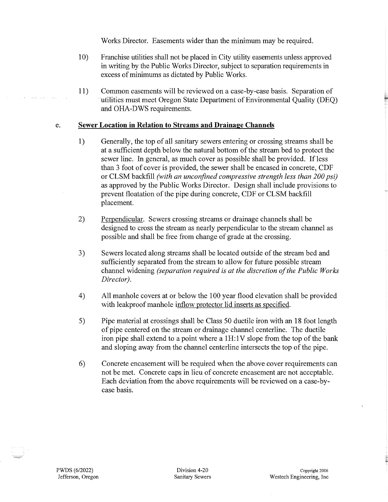Works Director. Easements wider than the minimum may be required.

- 10) Franchise utilities shall not be placed in City utility easements unless approved in writing by the Public Works Director, subject to separation requirements in excess of minimums as dictated by Public Works.
- 11) Common easements will be reviewed on a case-by-case basis. Separation of utilities must meet Oregon State Department of Environmental Quality (DEO) and OHA-DWS requirements.

#### e. **Sewer Location in Relation to Streams and Drainage Channels**

- 1) Generally, the top of all sanitary sewers entering or crossing streams shall be at a sufficient depth below the natural bottom of the stream bed to protect the sewer line. In general, as much cover as possible shall be provided. If less than 3 foot of cover is provided, the sewer shall be encased in concrete, CDF or CLSM backfill *(with an unconfined compressive strength less than 200 psi)*  as approved by the Public Works Director. Design shall include provisions to prevent floatation of the pipe during concrete, CDF or CLSM backfill placement.
- 2) Perpendicular. Sewers crossing streams or drainage channels shall be designed to cross the stream as nearly perpendicular to the stream channel as possible and shall be free from change of grade at the crossing.
- 3) Sewers located along streams shall be located outside of the stream bed and sufficiently separated from the stream to allow for future possible stream channel widening *(separation required is at the discretion of the Public Works Director).*
- 4) All manhole covers at or below the 100 year flood elevation shall be provided with leakproof manhole inflow protector lid inserts as specified.
- 5) Pipe material at crossings shall be Class 50 ductile iron with an 18 foot length of pipe centered on the stream or drainage channel centerline. The ductile iron pipe shall extend to a point where a  $1H:1V$  slope from the top of the bank and sloping away from the channel centerline intersects the top of the pipe.
- 6) Concrete encasement will be required when the above cover requirements can not be met. Concrete caps in lieu of concrete encasement are not acceptable. Each deviation from the above requirements will be reviewed on a case-bycase basis.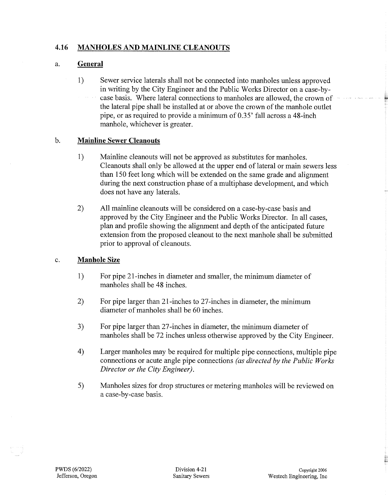## **4.16 MANHOLES AND MAINLINE CLEANOUTS**

#### a. **General**

1) Sewer service laterals shall not be connected into manholes unless approved in writing by the City Engineer and the Public Works Director on a case-bycase basis. Where lateral connections to manholes are allowed, the crown of the lateral pipe shall be installed at or above the crown of the manhole outlet pipe, or as required to provide a minimum of 0.35' fall across a 48-inch manhole, whichever is greater.

#### b. **Mainline Sewer Cleanouts**

- 1) Mainline cleanouts will not be approved as substitutes for manholes. Cleanouts shall only be allowed at the upper end of lateral or main sewers less than 150 feet long which will be extended on the same grade and alignment during the next construction phase of a multiphase development, and which does not have any laterals.
- 2) All mainline cleanouts will be considered on a case-by-case basis and approved by the City Engineer and the Public Works Director. In all cases, plan and profile showing the alignment and depth of the anticipated future extension from the proposed cleanout to the next manhole shall be submitted prior to approval of cleanouts.

#### c. **Manhole Size**

- 1) For pipe 21-inches in diameter and smaller, the minimum diameter of manholes shall be 48 inches.
- 2) For pipe larger than 21-inches to 27-inches in diameter, the minimum diameter of manholes shall be 60 inches.
- 3) For pipe larger than 27-inches in diameter, the minimum diameter of manholes shall be 72 inches unless otherwise approved by the City Engineer.
- 4) Larger manholes may be required for multiple pipe connections, multiple pipe connections or acute angle pipe connections *(as directed by the Public Works Director or the City Engineer).*
- 5) Manholes sizes for drop structures or metering manholes will be reviewed on a case-by-case basis.

È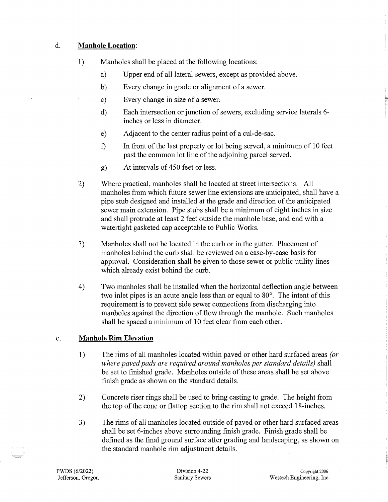#### d. **Manhole Location:**

- 1) Manholes shall be placed at the following locations:
	- a) Upper end of all lateral sewers, except as provided above.
	- b) Every change in grade or alignment of a sewer.
	- c) Every change in size of a sewer:
	- d) Each intersection or junction of sewers, excluding service laterals 6 inches or less in diameter.
	- e) Adjacent to the center radius point of a cul-de-sac.
	- f) In front of the last property or lot being served, a minimum of 10 feet past the common lot line of the adjoining parcel served.
	- g) At intervals of 450 feet or less.
- 2) Where practical, manholes shall be located at street intersections. All manholes from which future sewer line extensions are anticipated, shall have a pipe stub designed and installed at the grade and direction of the anticipated sewer main extension. Pipe stubs shall be a minimum of eight inches in size and shall protrude at least 2 feet outside the manhole base, and end with a watertight gasketed cap acceptable to Public Works.
- 3) Manholes shall not be located in the curb or in the gutter. Placement of manholes behind the curb shall be reviewed on a case-by-case basis for approval. Consideration shall be given to those sewer or public utility lines which already exist behind the curb.
- 4) Two manholes shall be installed when the horizontal deflection angle between two inlet pipes is an acute angle less than or equal to 80°. The intent of this requirement is to prevent side sewer connections from discharging into manholes against the direction of flow through the manhole. Such manholes shall be spaced a minimum of 10 feet clear from each other.

## e. **Manhole Rim Elevation**

- 1) The rims of all manholes located within paved or other hard surfaced areas *(or where paved pads are required around manholes per standard details)* shall be set to finished grade. Manholes outside of these areas shall be set above finish grade as shown on the standard details.
- 2) Concrete riser rings shall be used to bring casting to grade. The height from the top of the cone or flattop section to the rim shall not exceed 18-inches.
- 3) The rims of all manholes located outside of paved or other hard surfaced areas shall be set 6-inches above surrounding finish grade. Finish grade shall be defined as the final ground surface after grading and landscaping, as shown on the standard manhole rim adjustment details.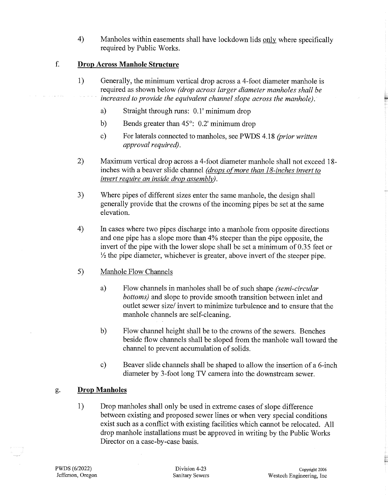4) Manholes within easements shall have lockdown lids only where specifically required by Public Works.

#### f. **Drop Across Manhole Structure**

- 1) Generally, the minimum vertical drop across a 4-foot diameter manhole is required as shown below *(drop across larger diameter manholes shall be increased to provide the equivalent channel slope across the manhole).* 
	- a) Straight through runs: 0.1' minimum drop
	- b) Bends greater than 45°: 0.2' minimum drop
	- c) For laterals connected to manholes, see PWDS 4 .18 *(prior written approval required).*
- 2) Maximum vertical drop across a 4-foot diameter manhole shall not exceed 18 inches with a beaver slide channel *(drops of more than 18-inches invert to invert require an inside drop assembly).*
- 3) Where pipes of different sizes enter the same manhole, the design shall generally provide that the crowns of the incoming pipes be set at the same elevation.
- 4) In cases where two pipes discharge into a manhole from opposite directions and one pipe has a slope more than 4% steeper than the pipe opposite, the invert of the pipe with the lower slope shall be set a minimum of 0.35 feet or *Yz* the pipe diameter, whichever is greater, above invert of the steeper pipe.
- 5) Manhole Flow Channels
	- a) Flow channels in manholes shall be of such shape *(semi-circular bottoms)* and slope to provide smooth transition between inlet and outlet sewer size/ invert to minimize turbulence and to ensure that the manhole channels are self-cleaning.
	- b) Flow channel height shall be to the crowns of the sewers. Benches beside flow channels shall be sloped from the manhole wall toward the channel to prevent accumulation of solids.
	- c) Beaver slide channels shall be shaped to allow the insertion of a 6-inch diameter by 3-foot long TV camera into the downstream sewer.

#### g. **Drop Manholes**

1) Drop manholes shall only be used in extreme cases of slope difference between existing and proposed sewer lines or when very special conditions exist such as a conflict with existing facilities which cannot be relocated. All drop manhole installations must be approved in writing by the Public Works Director on a case-by-case basis.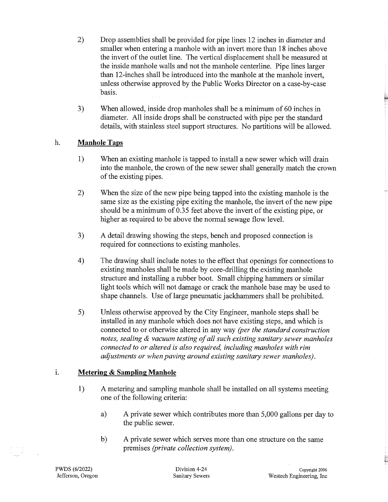- 2) Drop assemblies shall be provided for pipe lines 12 inches in diameter and smaller when entering a manhole with an invert more than 18 inches above the invert of the outlet line. The vertical displacement shall be measured at the inside manhole walls and not the manhole centerline. Pipe lines larger than 12-inches shall be introduced into the manhole at the manhole invert, unless otherwise approved by the Public Works Director on a case-by-case basis.
- 3) When allowed, inside drop manholes shall be a minimum of 60 inches in diameter. All inside drops shall be constructed with pipe per the standard details, with stainless steel support structures. No partitions will be allowed.

#### h. **Manhole Taps**

- 1) When an existing manhole is tapped to install a new sewer which will drain into the manhole, the crown of the new sewer shall generally match the crown of the existing pipes.
- 2) When the size of the new pipe being tapped into the existing manhole is the same size as the existing pipe exiting the manhole, the invert of the new pipe should be a minimum of 0.35 feet above the invert of the existing pipe, or higher as required to be above the normal sewage flow level.
- 3) A detail drawing showing the steps, bench and proposed connection is required for connections to existing manholes.
- 4) The drawing shall include notes to the effect that openings for connections to existing manholes shall be made by core-drilling the existing manhole structure and installing a rubber boot. Small chipping hammers or similar light tools which will not damage or crack the manhole base may be used to shape channels. Use of large pneumatic jackhammers shall be prohibited.
- 5) Unless otherwise approved by the City Engineer, manhole steps shall be installed in any manhole which does not have existing steps, and which is connected to or otherwise altered in any way *(per the standard construction notes, sealing* & *vacuum testing of all such existing sanitary sewer manholes connected to or altered is also required, including manholes with rim adjustments or when paving around existing sanitary sewer manholes).*

#### 1. **Metering & Sampling Manhole**

- 1) A metering and sampling manhole shall be installed on all systems meeting one of the following criteria:
	- a) A private sewer which contributes more than 5,000 gallons per day to the public sewer.
	- b) A private sewer which serves more than one structure on the same premises *(private collection system).*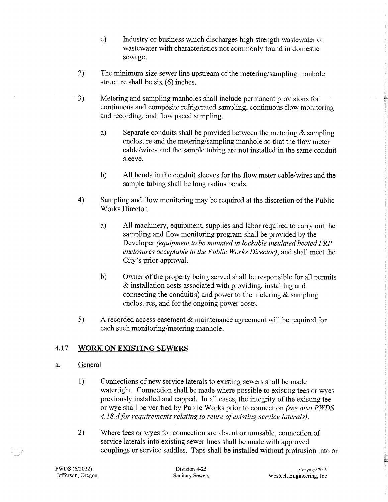- c) Industry or business which discharges high strength wastewater or wastewater with characteristics not commonly found in domestic sewage.
- 2) The minimum size sewer line upstream of the metering/sampling manhole structure shall be six (6) inches.
- 3) Metering and sampling manholes shall include permanent provisions for continuous and composite refrigerated sampling, continuous flow monitoring and recording, and flow paced sampling.
	- a) Separate conduits shall be provided between the metering  $\&$  sampling enclosure and the metering/sampling manhole so that the flow meter cable/wires and the sample tubing are not installed in the same conduit sleeve.
	- b) All bends in the conduit sleeves for the flow meter cable/wires and the sample tubing shall be long radius bends.
- 4) Sampling and flow monitoring may be required at the discretion of the Public Works Director.
	- a) All machinery, equipment, supplies and labor required to carry out the sampling and flow monitoring program shall be provided by the Developer *(equipment to be mounted in lockable insulated heated FRP enclosures acceptable to the Public Works Director),* and shall meet the City's prior approval.
	- b) Owner of the property being served shall be responsible for all permits & installation costs associated with providing, installing and connecting the conduit(s) and power to the metering  $\&$  sampling enclosures, and for the ongoing power costs.
- 5) A recorded access easement & maintenance agreement will be required for each such monitoring/metering manhole.

## **4.17 WORK ON EXISTING SEWERS**

## a. General

- 1) Connections of new service laterals to existing sewers shall be made watertight. Connection shall be made where possible to existing tees or wyes previously installed and capped. In all cases, the integrity of the existing tee or wye shall be verified by Public Works prior to connection *(see also PWDS 4.18. d for requirements relating to reuse of existing service laterals).*
- 2) Where tees or wyes for connection are absent or unusable, connection of service laterals into existing sewer lines shall be made with approved couplings or service saddles. Taps shall be installed without protrusion into or

È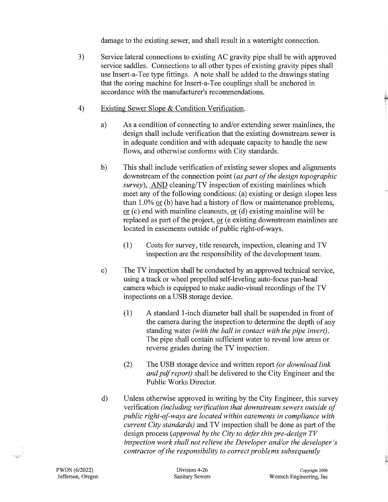damage to the existing sewer, and shall result in a watertight connection.

- 3) Service lateral connections to existing AC gravity pipe shall be with approved service saddles. Connections to all other types of existing gravity pipes shall use Insert-a-Tee type fittings. A note shall be added to the drawings stating that the coring machine for Insert-a-Tee couplings shall be anchored in accordance with the manufacturer's recommendations.
- 4) Existing Sewer Slope & Condition Verification.
	- a) As a condition of connecting to and/or extending sewer mainlines, the design shall include verification that the existing downstream sewer is in adequate condition and with adequate capacity to handle the new flows, and otherwise conforms with City standards.
	- b) This shall include verification of existing sewer slopes and alignments downstream of the connection point *(as part of the design topographic survey),* AND cleaning/TV inspection of existing mainlines which meet any of the following conditions: (a) existing or design slopes less than 1.0% or (b) have had a history of flow or maintenance problems, or  $(c)$  end with mainline cleanouts, or  $(d)$  existing mainline will be replaced as part of the project, or (e existing downstream mainlines are located in easements outside of public right-of-ways.
		- (1) Costs for survey, title research, inspection, cleaning and TV inspection are the responsibility of the development team.
	- c) The TV inspection shall be conducted by an approved technical service, using a track or wheel propelled self-leveling auto-focus pan-head camera which is equipped to make audio-visual recordings of the TV inspections on a USB storage device.
		- (1) A standard I-inch diameter ball shall be suspended in front of the camera during the inspection to determine the depth of any standing water *(with the ball in contact with the pipe invert).*  The pipe shall contain sufficient water to reveal low areas or reverse grades during the TV inspection.
		- (2) The USB storage device and written report *(or download link and pdf report)* shall be delivered to the City Engineer and the Public Works Director.
	- d) Unless otherwise approved in writing by the City Engineer, this survey verification *(including verification that downstream sewers outside of public right-of-ways are located within easements in compliance with current City standards)* and TV inspection shall be done as part of the design process *(approval by the City to defer this pre-design TV inspection work shall not relieve the Developer and/or the developer's contractor of the responsibility to correct problems subsequently*

E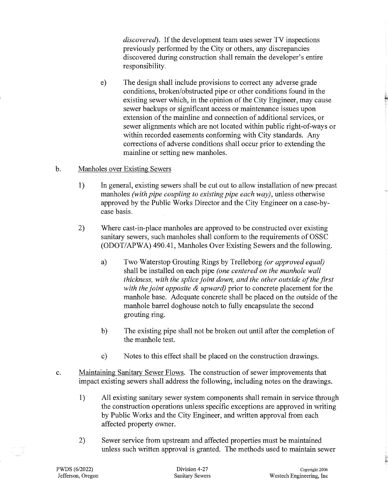*discovered).* If the development team uses sewer TV inspections previously performed by the City or others, any discrepancies discovered during construction shall remain the developer's entire responsibility.

e) The design shall include provisions to correct any adverse grade conditions, broken/obstructed pipe or other conditions found in the existing sewer which, in the opinion of the City Engineer, may cause sewer backups or significant access or maintenance issues upon extension of the mainline and connection of additional services, or sewer alignments which are not located within public right-of-ways or within recorded easements conforming with City standards. Any corrections of adverse conditions shall occur prior to extending the mainline or setting new manholes.

#### b. Manholes over Existing Sewers

- 1) In general, existing sewers shall be cut out to allow installation of new precast manholes *(with pipe coupling to existing pipe each way)*, unless otherwise approved by the Public Works Director and the City Engineer on a case-bycase basis.
- 2) Where cast-in-place manholes are approved to be constructed over existing sanitary sewers, such manholes shall conform to the requirements of OSSC (ODOT/APWA) 490.41, Manholes Over Existing Sewers and the following.
	- a) Two Waterstop Grouting Rings by Trelleborg *(or approved equal)*  shall be installed 0n each pipe *(one centered on the manhole wall thickness, with the splice joint down, and the other outside of the first with the joint opposite* & *upward)* prior to concrete placement for the manhole base. Adequate concrete shall be placed on the outside of the manhole barrel doghouse notch to fully encapsulate the second grouting ring.
	- b) The existing pipe shall not be broken out until after the completion of the manhole test.
	- c) Notes to this effect shall be placed on the construction drawings.
- c. Maintaining Sanitary Sewer Flows. The construction of sewer improvements that impact existing sewers shall address the following, including notes on the drawings.
	- 1) All existing sanitary sewer system components shall remain in service through the construction operations unless specific exceptions are approved in writing by Public Works and the City Engineer, and written approval from each affected property owner.
	- 2) Sewer service from upstream and affected properties must be maintained unless such written approval is granted. The methods used to maintain sewer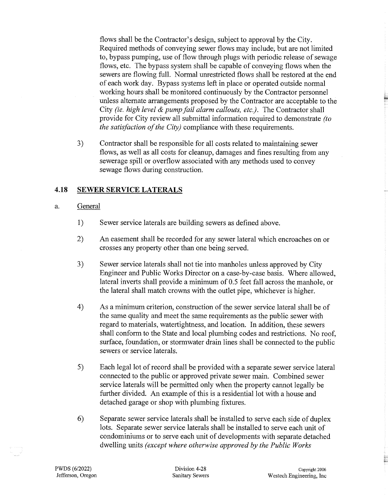flows shall be the Contractor's design, subject to approval by the City. Required methods of conveying sewer flows may include; but are not limited to, bypass pumping, use of flow through plugs with periodic release of sewage flows, etc. The bypass system shall be capable of conveying flows when the sewers are flowing full. Normal unrestricted flows shall be restored at the end of each work day. Bypass systems left in place or operated outside normal working hours shall be monitored continuously by the Contractor personnel unless alternate arrangements proposed by the Contractor are acceptable to the City *(ie. high level* & *pump fail alarm callouts, etc.).* The Contractor shall provide for City review all submittal information required to demonstrate *(to the satisfaction of the City)* compliance with these requirements.

3) Contractor shall be responsible for all costs related to maintaining sewer flows, as well as all costs for cleanup, damages and fines resulting from any sewerage spill or overflow associated with any methods used to convey sewage flows during construction.

#### **4.18 SEWER SERVICE LATERALS**

#### a. General

- 1) Sewer service laterals are building sewers as defined above.
- 2) An easement shall be recorded for any sewer lateral which encroaches on or crosses any property other than one being served.
- 3) Sewer service laterals shall not tie into manholes unless approved by City Engineer and Public Works Director on a case-by-case basis. Where allowed, lateral inverts shall provide a minimum of 0.5 feet fall across the manhole, or the lateral shall match crowns with the outlet pipe, whichever is higher.
- 4) As a minimum criterion, construction of the sewer service lateral shall be of the same quality and meet the same requirements as the public sewer with regard to materials, watertightness, and location. In addition, these sewers shall conform to the State and local plumbing codes and restrictions. No roof, surface, foundation, or stormwater drain lines shall be connected to the public sewers or service laterals.
- 5) Each legal lot of record shall be provided with a separate sewer service lateral connected to the public or approved private sewer main. Combined sewer service laterals will be permitted only when the property cannot legally be further divided. An example of this is a residential lot with a house and detached garage or shop with plumbing fixtures.
- 6) Separate sewer service laterals shall be installed to serve each side of duplex lots. Separate sewer service laterals shall be installed to serve each unit of condominiums or to serve each unit of developments with separate detached dwelling units *(except where otherwise approved by the Public Works*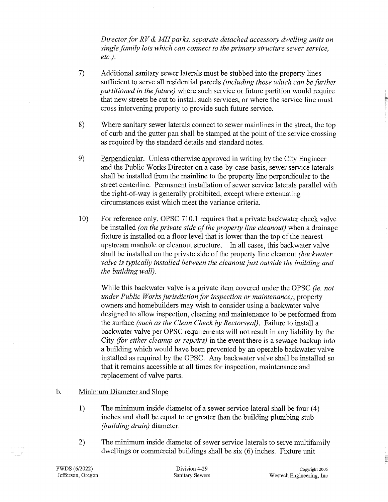*Director for RV* & *MH parks, separate detached accessory dwelling units on single family lots which can connect to the primary structure sewer service, etc.).* 

- 7) Additional sanitary sewer laterals must be stubbed into the property lines sufficient to serve all residential parcels *(including those which can be further partitioned in the future)* where such service or future partition would require that new streets be cut to install such services, or where the service line must cross intervening property to provide such future service.
- 8) Where sanitary sewer laterals connect to sewer mainlines in the street, the top of curb and the gutter pan shall be stamped at the point of the service crossing as required by the standard details and standard notes.
- 9) Perpendicular. Unless otherwise approved in writing by the City Engineer and the Public Works Director on a case-by-case basis, sewer service laterals shall be installed from the mainline to the property line perpendicular to the street centerline. Permanent installation of sewer service laterals parallel with the right-of-way is generally prohibited, except where extenuating circumstances exist which meet the variance criteria.
- 10) For reference only, OPSC 710.l requires that a private backwater check valve be installed *(on the private side of the property line cleanout)* when a drainage fixture is installed on a floor level that is lower than the top of the nearest upstream manhole or cleanout structure. In all cases, this backwater valve shall be installed on the private side of the property line cleanout *(backwater valve is typically installed between the cleanout just outside the building and the building wall).*

While this backwater valve is a private item covered under the OPSC *(ie. not under Public Works jurisdiction for inspection or maintenance),* property owners and homebuilders may wish to consider using a backwater valve designed to allow inspection, cleaning and maintenance to be performed from the surface *(such as the Clean Check by Rector seal).* Failure to install a backwater valve per OPSC requirements will not result in any liability by the City *(for either cleanup or repairs)* in the event there is a sewage backup into a building which would have been prevented by an operable backwater valve installed as required by the OPSC. Any backwater valve shall be installed so that it remains accessible at all times for inspection, maintenance and replacement of valve parts.

#### b. Minimum Diameter and Slope

- 1) The minimum inside diameter of a sewer service lateral shall be four (4) inches and shall be equal to or greater than the building plumbing stub *(building drain)* diameter.
- 2) The minimum inside diameter of sewer service laterals to serve multifamily dwellings or commercial buildings shall be  $s$ ix  $(6)$  inches. Fixture unit

PWDS (6/2022) Jefferson, Oregon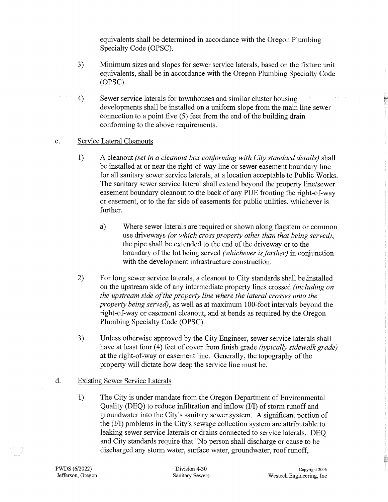equivalents shall be determined in accordance with the Oregon Plumbing Specialty Code (OPSC).

- 3) Minimum sizes and slopes for sewer service laterals, based on the fixture unit equivalents, shall be in accordance with the Oregon Plumbing Specialty Code (OPSC).
- 4) Sewer service laterals for townhouses and similar cluster housing developments shall be installed on a uniform slope from the main line sewer connection to a point five (5) feet from the end of the building drain conforming to the above requirements.

#### c. Service Lateral Cleanouts

- 1) A cleanout *(set in a cleanout box conforming with City standard details)* shall be installed at or near the right-of-way line or sewer easement boundary line for all sanitary sewer service laterals, at a location acceptable to Public Works. The sanitary sewer service lateral shall extend beyond the property line/sewer easement boundary cleanout to the back of any PUE fronting the right-of-way or easement, or to the far side of easements for public utilities, whichever is further.
	- a) Where sewer laterals are required or shown along flagstem or common use driveways *(or which cross property other than that being served),*  the pipe shall be extended to the end of the driveway or to the boundary of the lot being served *(whichever is farther)* in conjunction with the development infrastructure construction.
- 2) For long sewer service laterals, a cleanout to City standards shall be installed on the upstream side of any intermediate property lines crossed *(including on the upstream side of the property line where the lateral crosses onto the property being served),* as well as at maximum 100-foot intervals beyond the right-of-way or easement cleanout, and at bends as required by the Oregon Plumbing Specialty Code (OPSC).
- 3) Unless otherwise approved by the City Engineer, sewer service laterals shall have at least four (4) feet of cover from finish grade *(typically sidewalk grade)* at the right-of-way or easement line. Generally, the topography of the property will dictate how deep the service line must be.

#### d. Existing Sewer Service Laterals

1) The City is under mandate from the Oregon Department of Environmental Quality (DEQ) to reduce infiltration and inflow (I/I) of storm runoff and groundwater into the City's sanitary sewer system. A significant portion of the (I/I) problems in the City's sewage collection system are attributable to leaking sewer service laterals or drains connected to service laterals. DEQ and City standards require that "No person shall discharge or cause to be discharged any storm water, surface water, groundwater, roof runoff,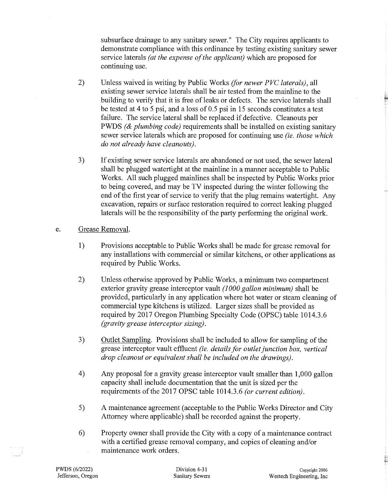subsurface drainage to any sanitary sewer." The City requires applicants to demonstrate compliance with this ordinance by testing existing sanitary sewer service laterals *(at the expense of the applicant)* which are proposed for continuing use.

- 2) Unless waived in writing by Public Works *(for newer PVC laterals),* all existing sewer service laterals shall be air tested from the mainline to the building to verify that it is free of leaks or defects. The service laterals shall be tested at 4 to 5 psi, and a loss of 0.5 psi in 15 seconds constitutes a test failure. The service lateral shall be replaced if defective. Cleanouts per PWDS *(& plumbing code)* requirements shall be installed on existing sanitary sewer service laterals which are proposed for continuing use *(ie. those which do not already have cleanouts).*
- 3) If existing sewer service laterals are abandoned or not used, the sewer lateral shall be plugged watertight at the mainline in a manner acceptable to Public Works. All such plugged mainlines shall be inspected by Public Works prior to being covered, and may be TV inspected during the winter following the end of the first year of service to verify that the plug remains watertight. Any excavation, repairs or surface restoration required to correct leaking plugged laterals will be the responsibility of the party performing the original work.
- e. Grease Removal.
	- 1) Provisions acceptable to Public Works shall be made for grease removal for any installations with commercial or similar kitchens, or other applications as required by Public Works.
	- 2) Unless otherwise approved by Public Works, a minimum two compartment exterior gravity grease interceptor vault *(1000 gallon minimum)* shall be provided, particularly in any application where hot water or steam cleaning of commercial type kitchens is utilized. Larger sizes shall be provided as required by 2017 Oregon Plumbing Specialty Code (OPSC) table 1014.3.6 *(gravity grease interceptor sizing).*
	- 3) Outlet Samplihg. Provisions shall be included to allow for sampling of the grease interceptor vault effluent *(ie. details for outlet junction box, vertical drop cleanout or equivalent shall be included on the drawings).*
	- 4) Any proposal for a gravity grease interceptor vault smaller than 1,000 gallon capacity shall include documentation that the unit is sized per the requirements of the 2017 OPSC table 1014.3.6 *(or current edition).*
	- 5) A maintenance agreement (acceptable to the Public Works Director and City Attorney where applicable) shall be recorded against the property.
	- 6) Property owner shall provide the City with a copy of a maintenance contract with a certified grease removal company, and copies of cleaning and/or maintenance work orders.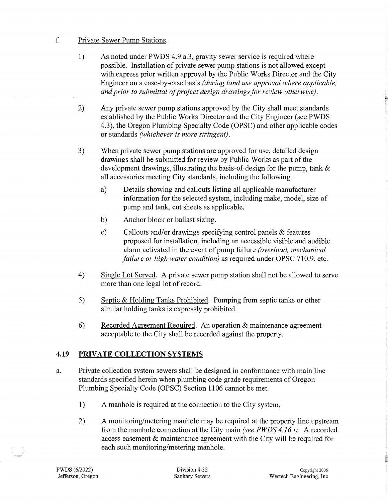#### f. Private Sewer Pump Stations.

- 1) As noted under PWDS 4.9.a.3, gravity sewer service is required where possible. Installation of private sewer pump stations is not allowed except with express prior written approval by the Public Works Director and the City Engineer on a case-by-case basis *(during land use approval where applicable, and prior to submittal of project design drawings for review otherwise).*
- 2) Any private sewer pump stations approved by the City shall meet standards established by the Public Works Director and the City Engineer (see PWDS 4.3), the Oregon Plumbing Specialty Code (OPSC) and other applicable codes or standards *(whichever is more stringent).*
- 3) When private sewer pump stations are approved for use, detailed design drawings shall be submitted for review by Public Works as part of the development drawings, illustrating the basis-of-design for the pump, tank & all accessories meeting City standards, including the following.
	- a) Details showing and callouts listing all applicable manufacturer information for the selected system, including make, model, size of pump and tank, cut sheets as applicable.
	- b) Anchor block or ballast sizing.
	- c) Callouts and/or drawings specifying control panels & features proposed for installation, including an accessible visible and audible alarm activated in the event of pump failure *(overload, mechanical failure or high water condition)* as required under OPSC 710.9, etc.
- 4) Single Lot Served. A private sewer pump station shall not be allowed to serve more than one legal lot of record.
- 5) Septic & Holding Tanks Prohibited. Pumping from septic tanks or other similar holding tanks is expressly prohibited.
- 6) Recorded Agreement Required. An operation & maintenance agreement acceptable to the City shall be recorded against the property.

## **4.19 PRIVATE COLLECTION SYSTEMS**

- a. Private collection system sewers shall be designed in conformance with main line standards specified herein when plumbing code grade requirements of Oregon Plumbing Specialty Code (OPSC) Section 1106 cannot be met.
	- 1) A manhole is required at the connection to the City system.
	- 2) A monitoring/metering manhole may be required at the property line upstream from the manhole connection at the City main *(see PWDS 4.16. i).* A recorded access easement & maintenance agreement with the City will be required for each such monitoring/metering manhole.

;;;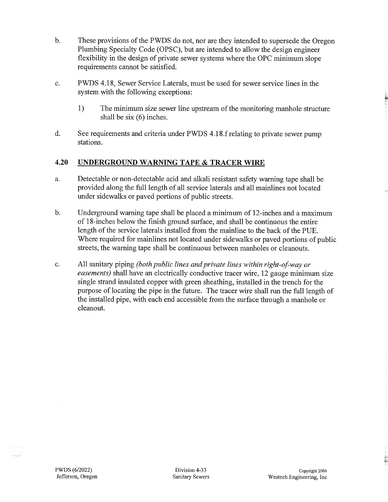- b. These provisions of the PWDS do not, nor are they intended to supersede the Oregon Plumbing Specialty Code (OPSC), but are intended to allow the design engineer flexibility in the design of private sewer systems where the OPC minimum slope requirements cannot be satisfied.
- c. PWDS 4.18, Sewer Service Laterals, must be used for sewer service lines in the system with the following exceptions:
	- 1) The minimum size sewer line upstream of the monitoring manhole structure shall be six (6) inches.
- d. See requirements and criteria under PWDS 4.18.frelating to private sewer pump stations.

#### **4.20 UNDERGROUND WARNING TAPE & TRACER WIRE**

- a. Detectable or non-detectable acid and alkali resistant safety warning tape shall be provided along the full length of all service laterals and all mainlines not located under sidewalks or paved portions of public streets.
- b. Underground warning tape shall be placed a minimum of 12-inches and a maximum of 18-inches below the finish ground surface, and shall be continuous the entire length of the service laterals installed from the mainline to the back of the PUE. Where required for mainlines not located under sidewalks or paved portions of public streets, the warning tape shall be continuous between manholes or cleanouts.
- c. All sanitary piping *(both public lines and private lines within right-of-way or easements)* shall have an electrically conductive tracer wire, 12 gauge minimum size single strand insulated copper with green sheathing, installed in the trench for the purpose of locating the pipe in the future. The tracer wire shall run the full length of the installed pipe, with each end accessible from the surface through a manhole or clean out.